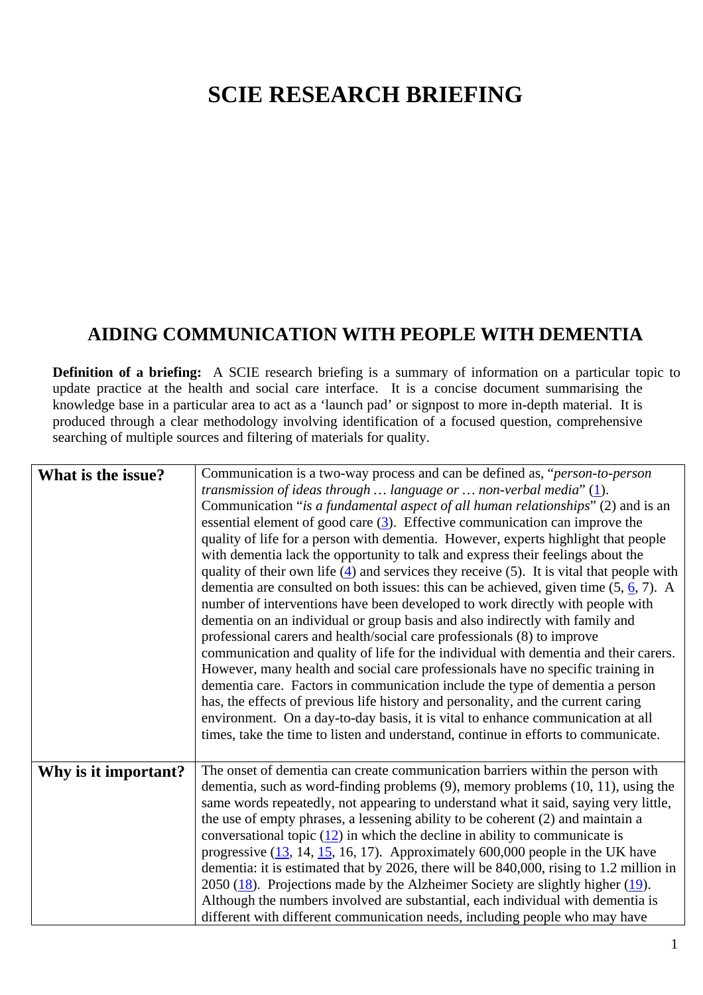## **SCIE RESEARCH BRIEFING**

## **AIDING COMMUNICATION WITH PEOPLE WITH DEMENTIA**

**Definition of a briefing:** A SCIE research briefing is a summary of information on a particular topic to update practice at the health and social care interface. It is a concise document summarising the knowledge base in a particular area to act as a 'launch pad' or signpost to more in-depth material. It is produced through a clear methodology involving identification of a focused question, comprehensive searching of multiple sources and filtering of materials for quality.

| What is the issue?   | Communication is a two-way process and can be defined as, "person-to-person<br>transmission of ideas through  language or  non-verbal media" $(1)$ .<br>Communication "is a fundamental aspect of all human relationships" (2) and is an<br>essential element of good care $(3)$ . Effective communication can improve the<br>quality of life for a person with dementia. However, experts highlight that people<br>with dementia lack the opportunity to talk and express their feelings about the<br>quality of their own life $(4)$ and services they receive (5). It is vital that people with<br>dementia are consulted on both issues: this can be achieved, given time $(5, 6, 7)$ . A<br>number of interventions have been developed to work directly with people with<br>dementia on an individual or group basis and also indirectly with family and<br>professional carers and health/social care professionals (8) to improve<br>communication and quality of life for the individual with dementia and their carers.<br>However, many health and social care professionals have no specific training in |
|----------------------|----------------------------------------------------------------------------------------------------------------------------------------------------------------------------------------------------------------------------------------------------------------------------------------------------------------------------------------------------------------------------------------------------------------------------------------------------------------------------------------------------------------------------------------------------------------------------------------------------------------------------------------------------------------------------------------------------------------------------------------------------------------------------------------------------------------------------------------------------------------------------------------------------------------------------------------------------------------------------------------------------------------------------------------------------------------------------------------------------------------------|
|                      | dementia care. Factors in communication include the type of dementia a person<br>has, the effects of previous life history and personality, and the current caring<br>environment. On a day-to-day basis, it is vital to enhance communication at all<br>times, take the time to listen and understand, continue in efforts to communicate.                                                                                                                                                                                                                                                                                                                                                                                                                                                                                                                                                                                                                                                                                                                                                                          |
| Why is it important? | The onset of dementia can create communication barriers within the person with<br>dementia, such as word-finding problems $(9)$ , memory problems $(10, 11)$ , using the<br>same words repeatedly, not appearing to understand what it said, saying very little,<br>the use of empty phrases, a lessening ability to be coherent (2) and maintain a<br>conversational topic $(12)$ in which the decline in ability to communicate is<br>progressive $(13, 14, 15, 16, 17)$ . Approximately 600,000 people in the UK have<br>dementia: it is estimated that by 2026, there will be 840,000, rising to 1.2 million in<br>2050 $(18)$ . Projections made by the Alzheimer Society are slightly higher $(19)$ .<br>Although the numbers involved are substantial, each individual with dementia is<br>different with different communication needs, including people who may have                                                                                                                                                                                                                                        |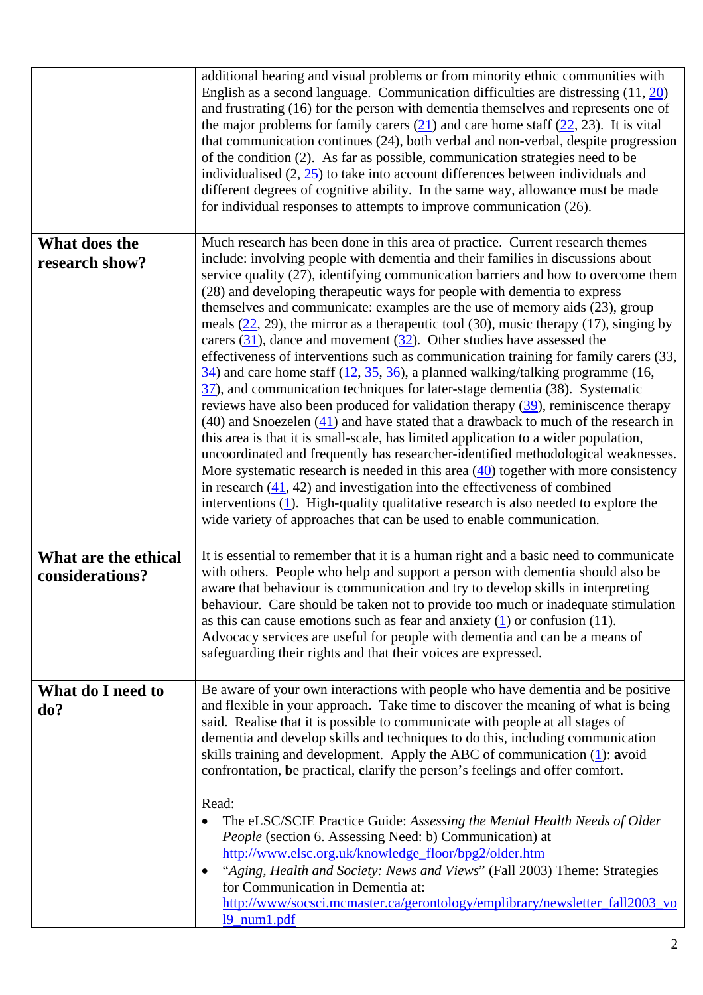|                                         | additional hearing and visual problems or from minority ethnic communities with<br>English as a second language. Communication difficulties are distressing $(11, 20)$<br>and frustrating (16) for the person with dementia themselves and represents one of<br>the major problems for family carers $(21)$ and care home staff $(22, 23)$ . It is vital<br>that communication continues (24), both verbal and non-verbal, despite progression<br>of the condition (2). As far as possible, communication strategies need to be<br>individualised $(2, 25)$ to take into account differences between individuals and<br>different degrees of cognitive ability. In the same way, allowance must be made<br>for individual responses to attempts to improve communication (26).                                                                                                                                                                                                                                                                                                                                                                                                                                                                                                                                                                                                                                                                                                                                                                                                       |
|-----------------------------------------|--------------------------------------------------------------------------------------------------------------------------------------------------------------------------------------------------------------------------------------------------------------------------------------------------------------------------------------------------------------------------------------------------------------------------------------------------------------------------------------------------------------------------------------------------------------------------------------------------------------------------------------------------------------------------------------------------------------------------------------------------------------------------------------------------------------------------------------------------------------------------------------------------------------------------------------------------------------------------------------------------------------------------------------------------------------------------------------------------------------------------------------------------------------------------------------------------------------------------------------------------------------------------------------------------------------------------------------------------------------------------------------------------------------------------------------------------------------------------------------------------------------------------------------------------------------------------------------|
| What does the<br>research show?         | Much research has been done in this area of practice. Current research themes<br>include: involving people with dementia and their families in discussions about<br>service quality (27), identifying communication barriers and how to overcome them<br>(28) and developing therapeutic ways for people with dementia to express<br>themselves and communicate: examples are the use of memory aids (23), group<br>meals $(22, 29)$ , the mirror as a therapeutic tool (30), music therapy (17), singing by<br>carers $(31)$ , dance and movement $(32)$ . Other studies have assessed the<br>effectiveness of interventions such as communication training for family carers (33,<br>$\frac{34}{10}$ and care home staff (12, 35, 36), a planned walking/talking programme (16,<br>$\frac{37}{27}$ , and communication techniques for later-stage dementia (38). Systematic<br>reviews have also been produced for validation therapy $(39)$ , reminiscence therapy<br>$(40)$ and Snoezelen $(41)$ and have stated that a drawback to much of the research in<br>this area is that it is small-scale, has limited application to a wider population,<br>uncoordinated and frequently has researcher-identified methodological weaknesses.<br>More systematic research is needed in this area $(40)$ together with more consistency<br>in research $(41, 42)$ and investigation into the effectiveness of combined<br>interventions $(1)$ . High-quality qualitative research is also needed to explore the<br>wide variety of approaches that can be used to enable communication. |
| What are the ethical<br>considerations? | It is essential to remember that it is a human right and a basic need to communicate<br>with others. People who help and support a person with dementia should also be<br>aware that behaviour is communication and try to develop skills in interpreting<br>behaviour. Care should be taken not to provide too much or inadequate stimulation<br>as this can cause emotions such as fear and anxiety $(1)$ or confusion (11).<br>Advocacy services are useful for people with dementia and can be a means of<br>safeguarding their rights and that their voices are expressed.                                                                                                                                                                                                                                                                                                                                                                                                                                                                                                                                                                                                                                                                                                                                                                                                                                                                                                                                                                                                      |
| What do I need to<br>do?                | Be aware of your own interactions with people who have dementia and be positive<br>and flexible in your approach. Take time to discover the meaning of what is being<br>said. Realise that it is possible to communicate with people at all stages of<br>dementia and develop skills and techniques to do this, including communication<br>skills training and development. Apply the ABC of communication $(1)$ : avoid<br>confrontation, be practical, clarify the person's feelings and offer comfort.<br>Read:<br>The eLSC/SCIE Practice Guide: Assessing the Mental Health Needs of Older<br>People (section 6. Assessing Need: b) Communication) at<br>http://www.elsc.org.uk/knowledge_floor/bpg2/older.htm<br>"Aging, Health and Society: News and Views" (Fall 2003) Theme: Strategies<br>٠<br>for Communication in Dementia at:<br>http://www/socsci.mcmaster.ca/gerontology/emplibrary/newsletter_fall2003_vo<br>19_num1.pdf                                                                                                                                                                                                                                                                                                                                                                                                                                                                                                                                                                                                                                              |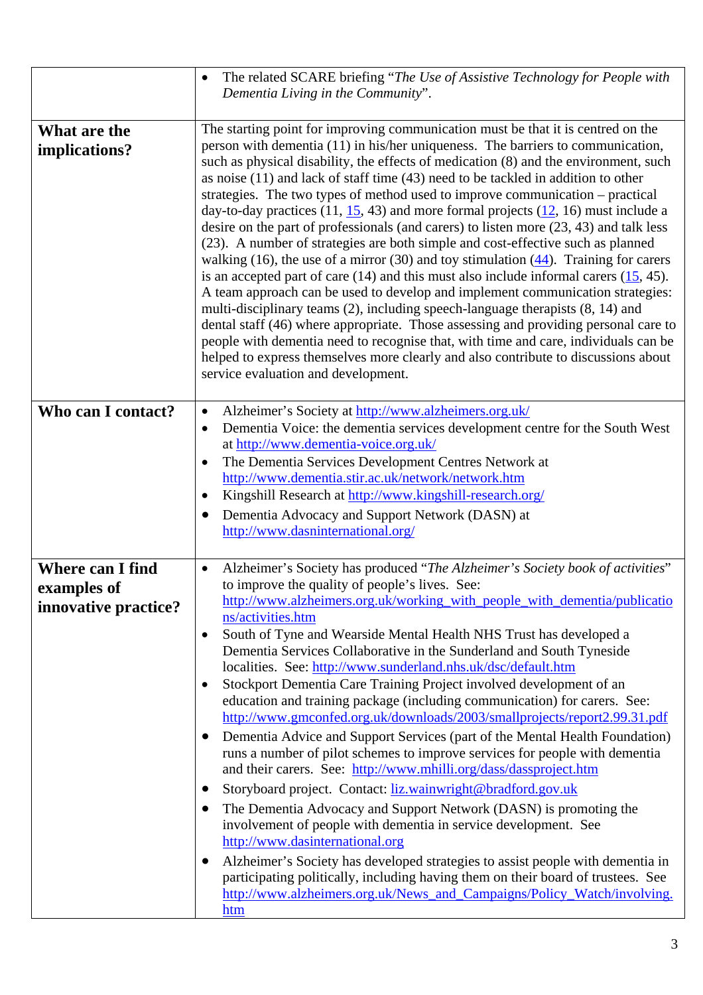|                                                                | The related SCARE briefing "The Use of Assistive Technology for People with<br>$\bullet$<br>Dementia Living in the Community".                                                                                                                                                                                                                                                                                                                                                                                                                                                                                                                                                                                                                                                                                                                                                                                                                                                                                                                                                                                                                                                                                                                                                                                                                                                                                                                                                         |
|----------------------------------------------------------------|----------------------------------------------------------------------------------------------------------------------------------------------------------------------------------------------------------------------------------------------------------------------------------------------------------------------------------------------------------------------------------------------------------------------------------------------------------------------------------------------------------------------------------------------------------------------------------------------------------------------------------------------------------------------------------------------------------------------------------------------------------------------------------------------------------------------------------------------------------------------------------------------------------------------------------------------------------------------------------------------------------------------------------------------------------------------------------------------------------------------------------------------------------------------------------------------------------------------------------------------------------------------------------------------------------------------------------------------------------------------------------------------------------------------------------------------------------------------------------------|
| What are the<br>implications?                                  | The starting point for improving communication must be that it is centred on the<br>person with dementia (11) in his/her uniqueness. The barriers to communication,<br>such as physical disability, the effects of medication (8) and the environment, such<br>as noise $(11)$ and lack of staff time $(43)$ need to be tackled in addition to other<br>strategies. The two types of method used to improve communication – practical<br>day-to-day practices $(11, 15, 43)$ and more formal projects $(12, 16)$ must include a<br>desire on the part of professionals (and carers) to listen more (23, 43) and talk less<br>(23). A number of strategies are both simple and cost-effective such as planned<br>walking (16), the use of a mirror (30) and toy stimulation $(44)$ . Training for carers<br>is an accepted part of care $(14)$ and this must also include informal carers $(15, 45)$ .<br>A team approach can be used to develop and implement communication strategies:<br>multi-disciplinary teams (2), including speech-language therapists (8, 14) and<br>dental staff (46) where appropriate. Those assessing and providing personal care to<br>people with dementia need to recognise that, with time and care, individuals can be<br>helped to express themselves more clearly and also contribute to discussions about<br>service evaluation and development.                                                                                                   |
| Who can I contact?                                             | Alzheimer's Society at http://www.alzheimers.org.uk/<br>$\bullet$<br>Dementia Voice: the dementia services development centre for the South West<br>$\bullet$<br>at http://www.dementia-voice.org.uk/<br>The Dementia Services Development Centres Network at<br>$\bullet$<br>http://www.dementia.stir.ac.uk/network/network.htm<br>Kingshill Research at http://www.kingshill-research.org/<br>$\bullet$<br>Dementia Advocacy and Support Network (DASN) at<br>http://www.dasninternational.org/                                                                                                                                                                                                                                                                                                                                                                                                                                                                                                                                                                                                                                                                                                                                                                                                                                                                                                                                                                                      |
| <b>Where can I find</b><br>examples of<br>innovative practice? | Alzheimer's Society has produced "The Alzheimer's Society book of activities"<br>to improve the quality of people's lives. See:<br>http://www.alzheimers.org.uk/working_with_people_with_dementia/publicatio<br>ns/activities.htm<br>South of Tyne and Wearside Mental Health NHS Trust has developed a<br>٠<br>Dementia Services Collaborative in the Sunderland and South Tyneside<br>localities. See: http://www.sunderland.nhs.uk/dsc/default.htm<br>Stockport Dementia Care Training Project involved development of an<br>education and training package (including communication) for carers. See:<br>http://www.gmconfed.org.uk/downloads/2003/smallprojects/report2.99.31.pdf<br>Dementia Advice and Support Services (part of the Mental Health Foundation)<br>$\bullet$<br>runs a number of pilot schemes to improve services for people with dementia<br>and their carers. See: http://www.mhilli.org/dass/dassproject.htm<br>Storyboard project. Contact: liz.wainwright@bradford.gov.uk<br>$\bullet$<br>The Dementia Advocacy and Support Network (DASN) is promoting the<br>$\bullet$<br>involvement of people with dementia in service development. See<br>http://www.dasinternational.org<br>Alzheimer's Society has developed strategies to assist people with dementia in<br>$\bullet$<br>participating politically, including having them on their board of trustees. See<br>http://www.alzheimers.org.uk/News_and_Campaigns/Policy_Watch/involving.<br><u>htm</u> |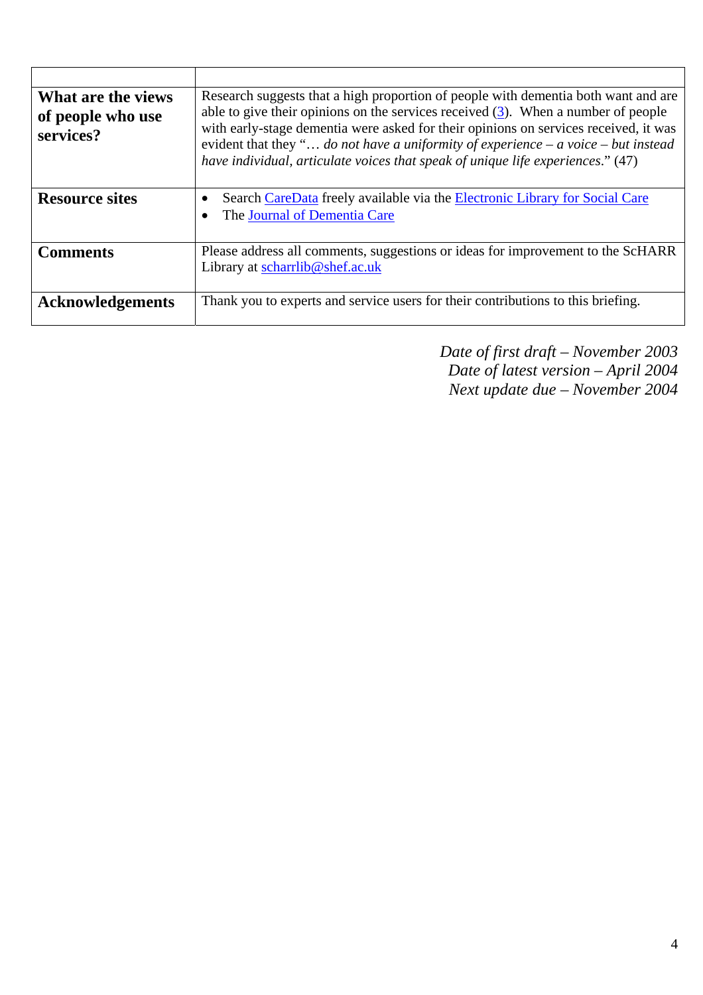| What are the views<br>of people who use<br>services? | Research suggests that a high proportion of people with dementia both want and are<br>able to give their opinions on the services received $(3)$ . When a number of people<br>with early-stage dementia were asked for their opinions on services received, it was<br>evident that they " do not have a uniformity of experience $-a$ voice $-but$ instead<br>have individual, articulate voices that speak of unique life experiences." (47) |
|------------------------------------------------------|-----------------------------------------------------------------------------------------------------------------------------------------------------------------------------------------------------------------------------------------------------------------------------------------------------------------------------------------------------------------------------------------------------------------------------------------------|
| <b>Resource sites</b>                                | Search CareData freely available via the Electronic Library for Social Care<br>٠<br>The Journal of Dementia Care                                                                                                                                                                                                                                                                                                                              |
| <b>Comments</b>                                      | Please address all comments, suggestions or ideas for improvement to the ScHARR<br>Library at scharrlib@shef.ac.uk                                                                                                                                                                                                                                                                                                                            |
| <b>Acknowledgements</b>                              | Thank you to experts and service users for their contributions to this briefing.                                                                                                                                                                                                                                                                                                                                                              |

*Date of first draft – November 2003 Date of latest version – April 2004 Next update due – November 2004*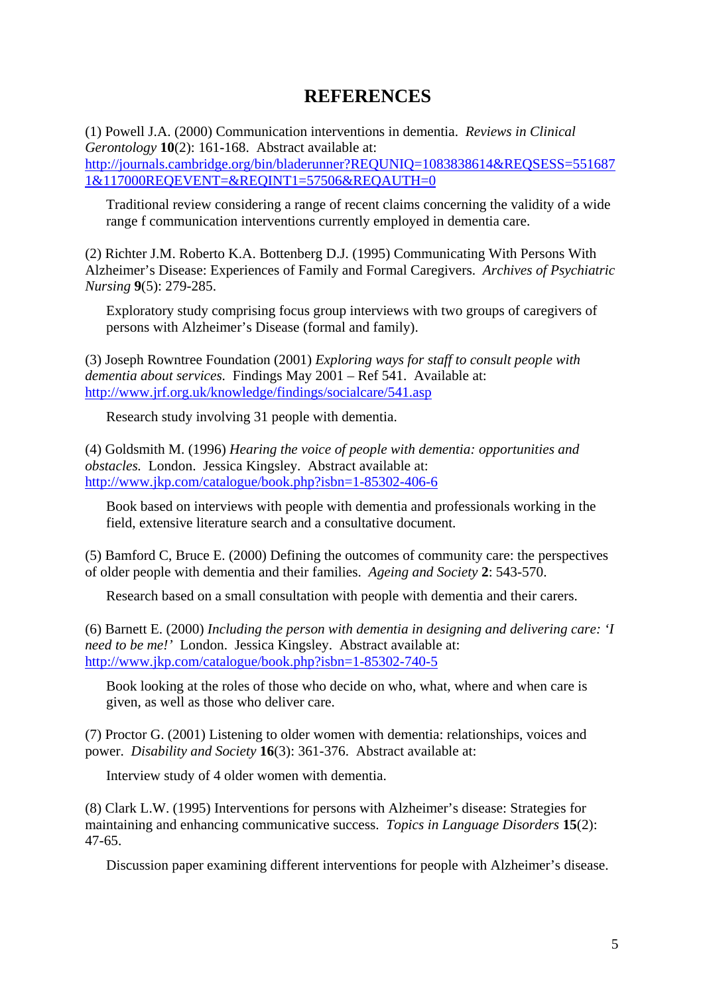## **REFERENCES**

(1) Powell J.A. (2000) Communication interventions in dementia. *Reviews in Clinical Gerontology* **10**(2): 161-168. Abstract available at: http://journals.cambridge.org/bin/bladerunner?REQUNIQ=1083838614&REQSESS=551687 1&117000REQEVENT=&REQINT1=57506&REQAUTH=0

Traditional review considering a range of recent claims concerning the validity of a wide range f communication interventions currently employed in dementia care.

(2) Richter J.M. Roberto K.A. Bottenberg D.J. (1995) Communicating With Persons With Alzheimer's Disease: Experiences of Family and Formal Caregivers. *Archives of Psychiatric Nursing* **9**(5): 279-285.

Exploratory study comprising focus group interviews with two groups of caregivers of persons with Alzheimer's Disease (formal and family).

(3) Joseph Rowntree Foundation (2001) *Exploring ways for staff to consult people with dementia about services.* Findings May 2001 – Ref 541. Available at: http://www.jrf.org.uk/knowledge/findings/socialcare/541.asp

Research study involving 31 people with dementia.

(4) Goldsmith M. (1996) *Hearing the voice of people with dementia: opportunities and obstacles.* London. Jessica Kingsley. Abstract available at: http://www.jkp.com/catalogue/book.php?isbn=1-85302-406-6

Book based on interviews with people with dementia and professionals working in the field, extensive literature search and a consultative document.

(5) Bamford C, Bruce E. (2000) Defining the outcomes of community care: the perspectives of older people with dementia and their families. *Ageing and Society* **2**: 543-570.

Research based on a small consultation with people with dementia and their carers.

(6) Barnett E. (2000) *Including the person with dementia in designing and delivering care: 'I need to be me!'* London. Jessica Kingsley. Abstract available at: http://www.jkp.com/catalogue/book.php?isbn=1-85302-740-5

Book looking at the roles of those who decide on who, what, where and when care is given, as well as those who deliver care.

(7) Proctor G. (2001) Listening to older women with dementia: relationships, voices and power. *Disability and Society* **16**(3): 361-376. Abstract available at:

Interview study of 4 older women with dementia.

(8) Clark L.W. (1995) Interventions for persons with Alzheimer's disease: Strategies for maintaining and enhancing communicative success. *Topics in Language Disorders* **15**(2): 47-65.

Discussion paper examining different interventions for people with Alzheimer's disease.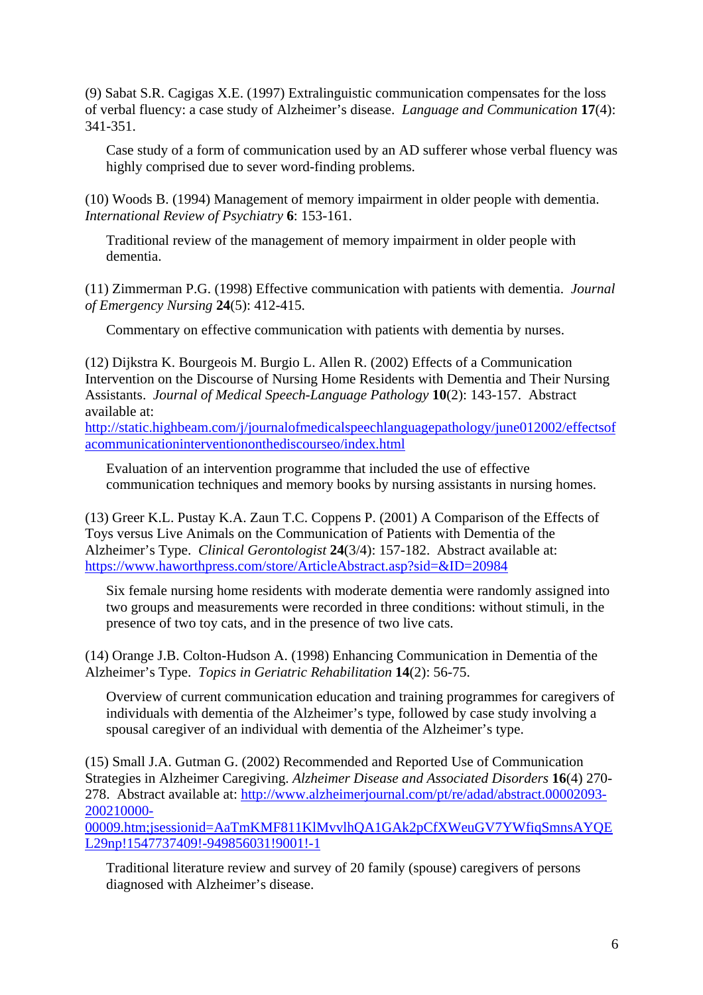(9) Sabat S.R. Cagigas X.E. (1997) Extralinguistic communication compensates for the loss of verbal fluency: a case study of Alzheimer's disease. *Language and Communication* **17**(4): 341-351.

Case study of a form of communication used by an AD sufferer whose verbal fluency was highly comprised due to sever word-finding problems.

(10) Woods B. (1994) Management of memory impairment in older people with dementia. *International Review of Psychiatry* **6**: 153-161.

Traditional review of the management of memory impairment in older people with dementia.

(11) Zimmerman P.G. (1998) Effective communication with patients with dementia. *Journal of Emergency Nursing* **24**(5): 412-415.

Commentary on effective communication with patients with dementia by nurses.

(12) Dijkstra K. Bourgeois M. Burgio L. Allen R. (2002) Effects of a Communication Intervention on the Discourse of Nursing Home Residents with Dementia and Their Nursing Assistants. *Journal of Medical Speech-Language Pathology* **10**(2): 143-157. Abstract available at:

http://static.highbeam.com/j/journalofmedicalspeechlanguagepathology/june012002/effectsof acommunicationinterventiononthediscourseo/index.html

Evaluation of an intervention programme that included the use of effective communication techniques and memory books by nursing assistants in nursing homes.

(13) Greer K.L. Pustay K.A. Zaun T.C. Coppens P. (2001) A Comparison of the Effects of Toys versus Live Animals on the Communication of Patients with Dementia of the Alzheimer's Type. *Clinical Gerontologist* **24**(3/4): 157-182. Abstract available at: https://www.haworthpress.com/store/ArticleAbstract.asp?sid=&ID=20984

Six female nursing home residents with moderate dementia were randomly assigned into two groups and measurements were recorded in three conditions: without stimuli, in the presence of two toy cats, and in the presence of two live cats.

(14) Orange J.B. Colton-Hudson A. (1998) Enhancing Communication in Dementia of the Alzheimer's Type. *Topics in Geriatric Rehabilitation* **14**(2): 56-75.

Overview of current communication education and training programmes for caregivers of individuals with dementia of the Alzheimer's type, followed by case study involving a spousal caregiver of an individual with dementia of the Alzheimer's type.

(15) Small J.A. Gutman G. (2002) Recommended and Reported Use of Communication Strategies in Alzheimer Caregiving. *Alzheimer Disease and Associated Disorders* **16**(4) 270- 278. Abstract available at: http://www.alzheimerjournal.com/pt/re/adad/abstract.00002093- 200210000-

00009.htm;jsessionid=AaTmKMF811KlMvvlhQA1GAk2pCfXWeuGV7YWfiqSmnsAYQE L29np!1547737409!-949856031!9001!-1

Traditional literature review and survey of 20 family (spouse) caregivers of persons diagnosed with Alzheimer's disease.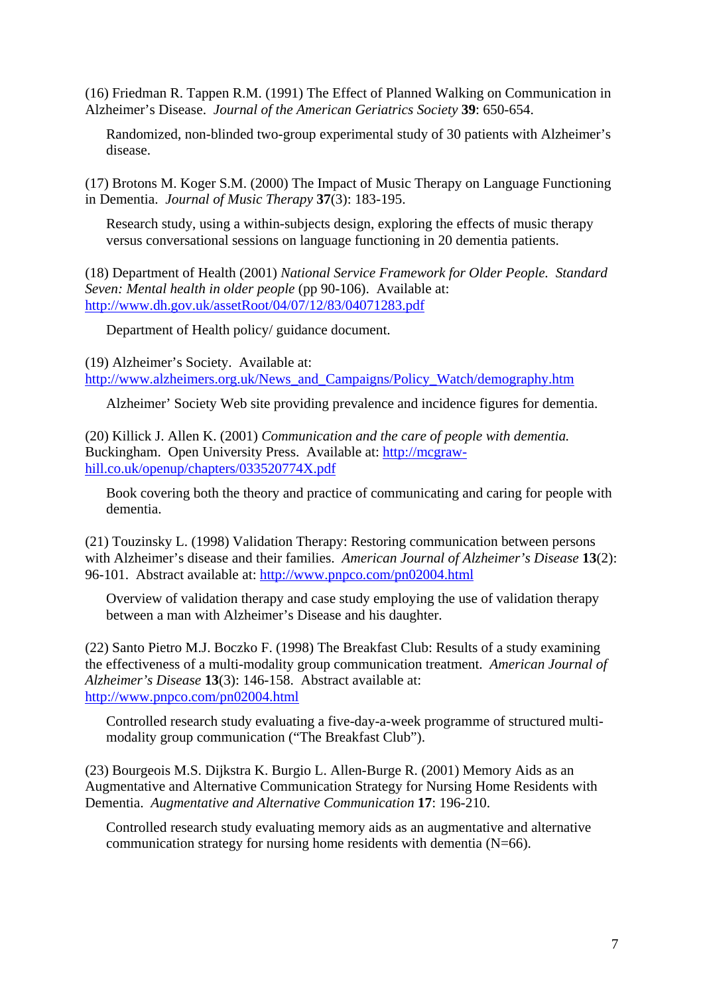(16) Friedman R. Tappen R.M. (1991) The Effect of Planned Walking on Communication in Alzheimer's Disease. *Journal of the American Geriatrics Society* **39**: 650-654.

Randomized, non-blinded two-group experimental study of 30 patients with Alzheimer's disease.

(17) Brotons M. Koger S.M. (2000) The Impact of Music Therapy on Language Functioning in Dementia. *Journal of Music Therapy* **37**(3): 183-195.

Research study, using a within-subjects design, exploring the effects of music therapy versus conversational sessions on language functioning in 20 dementia patients.

(18) Department of Health (2001) *National Service Framework for Older People. Standard Seven: Mental health in older people* (pp 90-106). Available at: http://www.dh.gov.uk/assetRoot/04/07/12/83/04071283.pdf

Department of Health policy/ guidance document.

(19) Alzheimer's Society. Available at: http://www.alzheimers.org.uk/News\_and\_Campaigns/Policy\_Watch/demography.htm

Alzheimer' Society Web site providing prevalence and incidence figures for dementia.

(20) Killick J. Allen K. (2001) *Communication and the care of people with dementia.* Buckingham. Open University Press. Available at: http://mcgrawhill.co.uk/openup/chapters/033520774X.pdf

Book covering both the theory and practice of communicating and caring for people with dementia.

(21) Touzinsky L. (1998) Validation Therapy: Restoring communication between persons with Alzheimer's disease and their families. *American Journal of Alzheimer's Disease* **13**(2): 96-101. Abstract available at: http://www.pnpco.com/pn02004.html

Overview of validation therapy and case study employing the use of validation therapy between a man with Alzheimer's Disease and his daughter.

(22) Santo Pietro M.J. Boczko F. (1998) The Breakfast Club: Results of a study examining the effectiveness of a multi-modality group communication treatment. *American Journal of Alzheimer's Disease* **13**(3): 146-158. Abstract available at: http://www.pnpco.com/pn02004.html

Controlled research study evaluating a five-day-a-week programme of structured multimodality group communication ("The Breakfast Club").

(23) Bourgeois M.S. Dijkstra K. Burgio L. Allen-Burge R. (2001) Memory Aids as an Augmentative and Alternative Communication Strategy for Nursing Home Residents with Dementia. *Augmentative and Alternative Communication* **17**: 196-210.

Controlled research study evaluating memory aids as an augmentative and alternative communication strategy for nursing home residents with dementia (N=66).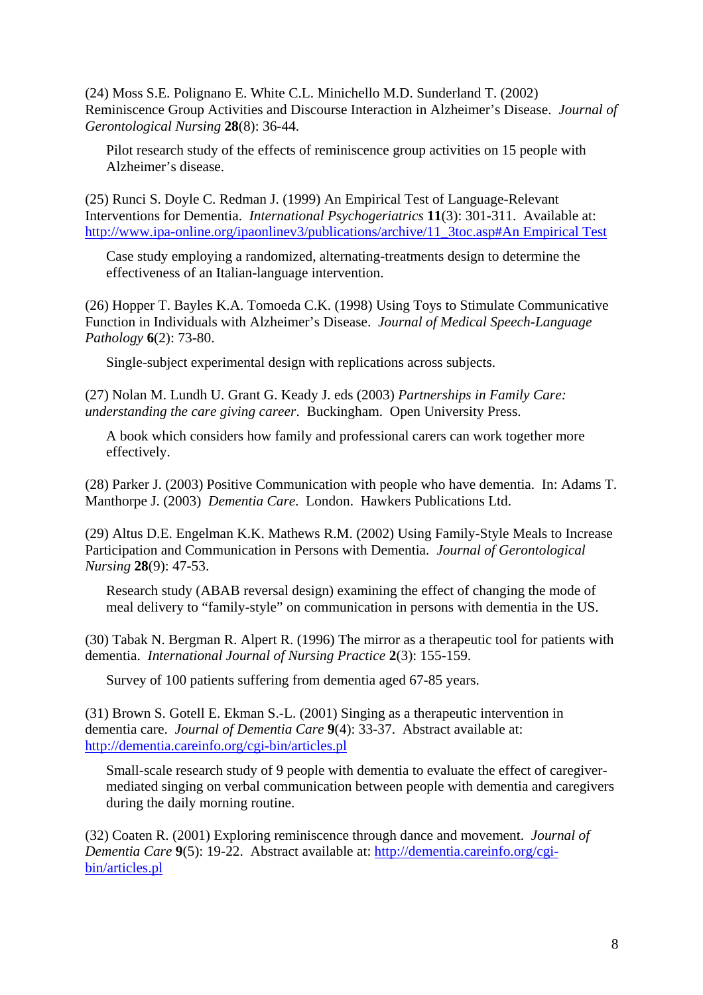(24) Moss S.E. Polignano E. White C.L. Minichello M.D. Sunderland T. (2002) Reminiscence Group Activities and Discourse Interaction in Alzheimer's Disease. *Journal of Gerontological Nursing* **28**(8): 36-44.

Pilot research study of the effects of reminiscence group activities on 15 people with Alzheimer's disease.

(25) Runci S. Doyle C. Redman J. (1999) An Empirical Test of Language-Relevant Interventions for Dementia. *International Psychogeriatrics* **11**(3): 301-311. Available at: http://www.ipa-online.org/ipaonlinev3/publications/archive/11\_3toc.asp#An Empirical Test

Case study employing a randomized, alternating-treatments design to determine the effectiveness of an Italian-language intervention.

(26) Hopper T. Bayles K.A. Tomoeda C.K. (1998) Using Toys to Stimulate Communicative Function in Individuals with Alzheimer's Disease. *Journal of Medical Speech-Language Pathology* **6**(2): 73-80.

Single-subject experimental design with replications across subjects.

(27) Nolan M. Lundh U. Grant G. Keady J. eds (2003) *Partnerships in Family Care: understanding the care giving career*. Buckingham. Open University Press.

A book which considers how family and professional carers can work together more effectively.

(28) Parker J. (2003) Positive Communication with people who have dementia. In: Adams T. Manthorpe J. (2003) *Dementia Care*. London. Hawkers Publications Ltd.

(29) Altus D.E. Engelman K.K. Mathews R.M. (2002) Using Family-Style Meals to Increase Participation and Communication in Persons with Dementia. *Journal of Gerontological Nursing* **28**(9): 47-53.

Research study (ABAB reversal design) examining the effect of changing the mode of meal delivery to "family-style" on communication in persons with dementia in the US.

(30) Tabak N. Bergman R. Alpert R. (1996) The mirror as a therapeutic tool for patients with dementia. *International Journal of Nursing Practice* **2**(3): 155-159.

Survey of 100 patients suffering from dementia aged 67-85 years.

(31) Brown S. Gotell E. Ekman S.-L. (2001) Singing as a therapeutic intervention in dementia care. *Journal of Dementia Care* **9**(4): 33-37. Abstract available at: http://dementia.careinfo.org/cgi-bin/articles.pl

Small-scale research study of 9 people with dementia to evaluate the effect of caregivermediated singing on verbal communication between people with dementia and caregivers during the daily morning routine.

(32) Coaten R. (2001) Exploring reminiscence through dance and movement. *Journal of Dementia Care* **9**(5): 19-22. Abstract available at: http://dementia.careinfo.org/cgibin/articles.pl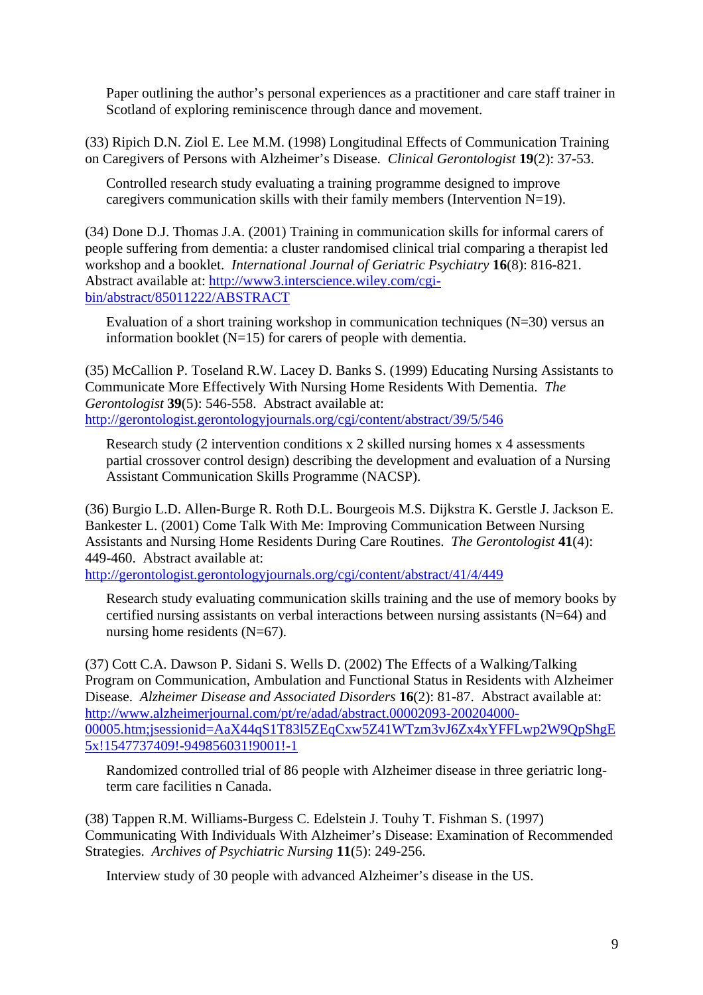Paper outlining the author's personal experiences as a practitioner and care staff trainer in Scotland of exploring reminiscence through dance and movement.

(33) Ripich D.N. Ziol E. Lee M.M. (1998) Longitudinal Effects of Communication Training on Caregivers of Persons with Alzheimer's Disease. *Clinical Gerontologist* **19**(2): 37-53.

Controlled research study evaluating a training programme designed to improve caregivers communication skills with their family members (Intervention N=19).

(34) Done D.J. Thomas J.A. (2001) Training in communication skills for informal carers of people suffering from dementia: a cluster randomised clinical trial comparing a therapist led workshop and a booklet. *International Journal of Geriatric Psychiatry* **16**(8): 816-821. Abstract available at: http://www3.interscience.wiley.com/cgibin/abstract/85011222/ABSTRACT

Evaluation of a short training workshop in communication techniques  $(N=30)$  versus an information booklet  $(N=15)$  for carers of people with dementia.

(35) McCallion P. Toseland R.W. Lacey D. Banks S. (1999) Educating Nursing Assistants to Communicate More Effectively With Nursing Home Residents With Dementia. *The Gerontologist* **39**(5): 546-558. Abstract available at: http://gerontologist.gerontologyjournals.org/cgi/content/abstract/39/5/546

Research study (2 intervention conditions x 2 skilled nursing homes x 4 assessments partial crossover control design) describing the development and evaluation of a Nursing Assistant Communication Skills Programme (NACSP).

(36) Burgio L.D. Allen-Burge R. Roth D.L. Bourgeois M.S. Dijkstra K. Gerstle J. Jackson E. Bankester L. (2001) Come Talk With Me: Improving Communication Between Nursing Assistants and Nursing Home Residents During Care Routines. *The Gerontologist* **41**(4): 449-460. Abstract available at:

http://gerontologist.gerontologyjournals.org/cgi/content/abstract/41/4/449

Research study evaluating communication skills training and the use of memory books by certified nursing assistants on verbal interactions between nursing assistants (N=64) and nursing home residents (N=67).

(37) Cott C.A. Dawson P. Sidani S. Wells D. (2002) The Effects of a Walking/Talking Program on Communication, Ambulation and Functional Status in Residents with Alzheimer Disease. *Alzheimer Disease and Associated Disorders* **16**(2): 81-87. Abstract available at: http://www.alzheimerjournal.com/pt/re/adad/abstract.00002093-200204000- 00005.htm;jsessionid=AaX44qS1T83l5ZEqCxw5Z41WTzm3vJ6Zx4xYFFLwp2W9QpShgE 5x!1547737409!-949856031!9001!-1

Randomized controlled trial of 86 people with Alzheimer disease in three geriatric longterm care facilities n Canada.

(38) Tappen R.M. Williams-Burgess C. Edelstein J. Touhy T. Fishman S. (1997) Communicating With Individuals With Alzheimer's Disease: Examination of Recommended Strategies. *Archives of Psychiatric Nursing* **11**(5): 249-256.

Interview study of 30 people with advanced Alzheimer's disease in the US.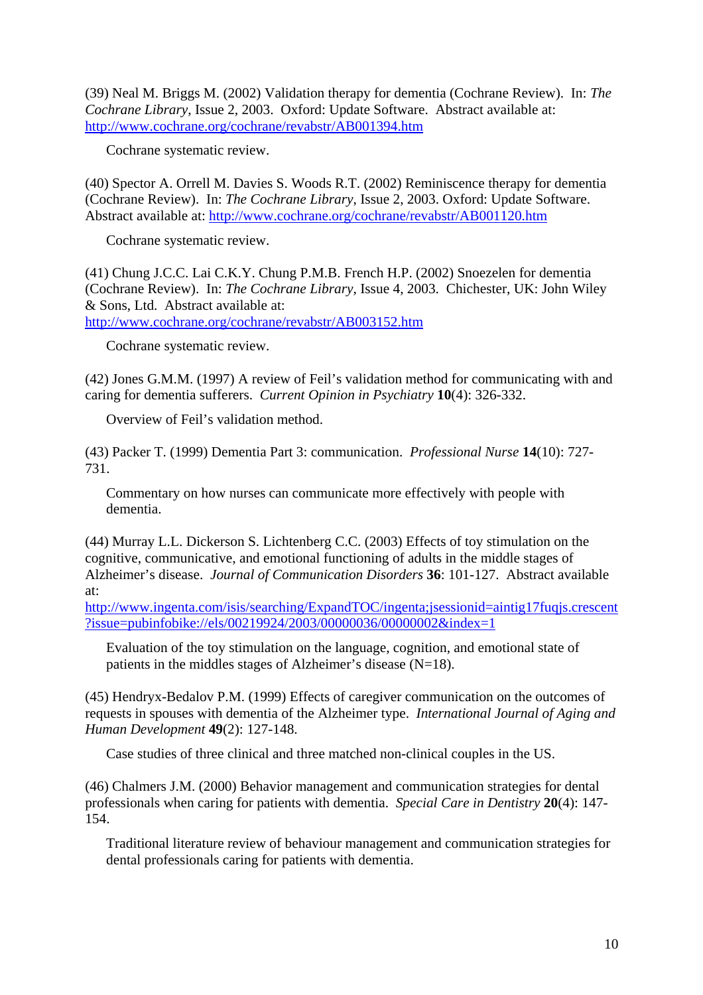(39) Neal M. Briggs M. (2002) Validation therapy for dementia (Cochrane Review). In: *The Cochrane Library*, Issue 2, 2003. Oxford: Update Software. Abstract available at: http://www.cochrane.org/cochrane/revabstr/AB001394.htm

Cochrane systematic review.

(40) Spector A. Orrell M. Davies S. Woods R.T. (2002) Reminiscence therapy for dementia (Cochrane Review). In: *The Cochrane Library*, Issue 2, 2003. Oxford: Update Software. Abstract available at: http://www.cochrane.org/cochrane/revabstr/AB001120.htm

Cochrane systematic review.

(41) Chung J.C.C. Lai C.K.Y. Chung P.M.B. French H.P. (2002) Snoezelen for dementia (Cochrane Review). In: *The Cochrane Library*, Issue 4, 2003. Chichester, UK: John Wiley & Sons, Ltd. Abstract available at:

http://www.cochrane.org/cochrane/revabstr/AB003152.htm

Cochrane systematic review.

(42) Jones G.M.M. (1997) A review of Feil's validation method for communicating with and caring for dementia sufferers. *Current Opinion in Psychiatry* **10**(4): 326-332.

Overview of Feil's validation method.

(43) Packer T. (1999) Dementia Part 3: communication. *Professional Nurse* **14**(10): 727- 731.

Commentary on how nurses can communicate more effectively with people with dementia.

(44) Murray L.L. Dickerson S. Lichtenberg C.C. (2003) Effects of toy stimulation on the cognitive, communicative, and emotional functioning of adults in the middle stages of Alzheimer's disease. *Journal of Communication Disorders* **36**: 101-127. Abstract available at:

http://www.ingenta.com/isis/searching/ExpandTOC/ingenta;jsessionid=aintig17fuqjs.crescent ?issue=pubinfobike://els/00219924/2003/00000036/00000002&index=1

Evaluation of the toy stimulation on the language, cognition, and emotional state of patients in the middles stages of Alzheimer's disease (N=18).

(45) Hendryx-Bedalov P.M. (1999) Effects of caregiver communication on the outcomes of requests in spouses with dementia of the Alzheimer type. *International Journal of Aging and Human Development* **49**(2): 127-148.

Case studies of three clinical and three matched non-clinical couples in the US.

(46) Chalmers J.M. (2000) Behavior management and communication strategies for dental professionals when caring for patients with dementia. *Special Care in Dentistry* **20**(4): 147- 154.

Traditional literature review of behaviour management and communication strategies for dental professionals caring for patients with dementia.